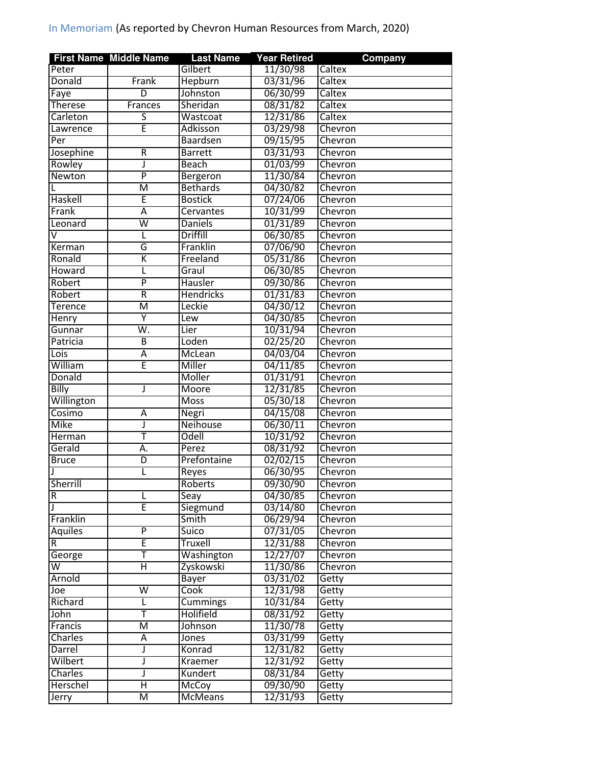|                         | <b>First Name Middle Name</b> | <b>Last Name</b> | <b>Year Retired</b>  | Company |
|-------------------------|-------------------------------|------------------|----------------------|---------|
| Peter                   |                               | Gilbert          | 11/30/98             | Caltex  |
| Donald                  | Frank                         | Hepburn          | 03/31/96             | Caltex  |
| Faye                    | $\overline{\mathsf{D}}$       | Johnston         | 06/30/99             | Caltex  |
| <b>Therese</b>          | Frances                       | Sheridan         | 08/31/82             | Caltex  |
| Carleton                | $\overline{\mathsf{S}}$       | Wastcoat         | 12/31/86             | Caltex  |
| Lawrence                | Ē                             | Adkisson         | 03/29/98             | Chevron |
| Per                     |                               | Baardsen         | 09/15/95             | Chevron |
| Josephine               | R                             | <b>Barrett</b>   | 03/31/93             | Chevron |
| Rowley                  | J                             | <b>Beach</b>     | 01/03/99             | Chevron |
| Newton                  | $\overline{P}$                | Bergeron         | 11/30/84             | Chevron |
|                         | Μ                             | <b>Bethards</b>  | 04/30/82             | Chevron |
| Haskell                 | Ē                             | <b>Bostick</b>   | 07/24/06             | Chevron |
| Frank                   | Ā                             | Cervantes        | 10/31/99             | Chevron |
| Leonard                 | $\overline{\mathsf{w}}$       | <b>Daniels</b>   | 01/31/89             | Chevron |
| $\overline{\mathsf{v}}$ | L                             | <b>Driffill</b>  | 06/30/85             | Chevron |
| Kerman                  | G                             | Franklin         | 07/06/90             | Chevron |
| Ronald                  | Κ                             | Freeland         | 05/31/86             | Chevron |
| Howard                  | L                             | Graul            | 06/30/85             | Chevron |
| Robert                  | $\overline{\mathsf{P}}$       | Hausler          | 09/30/86             | Chevron |
| Robert                  | R                             | <b>Hendricks</b> | 01/31/83             | Chevron |
| Terence                 | $\overline{\mathsf{M}}$       | Leckie           | 04/30/12             | Chevron |
| Henry                   | Y                             | Lew              | 04/30/85             | Chevron |
| Gunnar                  | W.                            | Lier             | 10/31/94             | Chevron |
| Patricia                | $\overline{B}$                | Loden            | 02/25/20             | Chevron |
|                         | Ā                             | McLean           | 04/03/04             | Chevron |
| Lois<br>William         | Ē                             | Miller           |                      |         |
|                         |                               |                  | 04/11/85<br>01/31/91 | Chevron |
| Donald                  |                               | Moller           |                      | Chevron |
| Billy                   | J                             | Moore            | 12/31/85             | Chevron |
| Willington              |                               | <b>Moss</b>      | 05/30/18             | Chevron |
| Cosimo                  | А                             | Negri            | 04/15/08             | Chevron |
| Mike                    | J                             | Neihouse         | 06/30/11             | Chevron |
| <b>Herman</b>           | T                             | Odell            | 10/31/92             | Chevron |
| Gerald                  | Ā.                            | Perez            | 08/31/92             | Chevron |
| <b>Bruce</b>            | D                             | Prefontaine      | 02/02/15             | Chevron |
|                         | L                             | Reyes            | 06/30/95             | Chevron |
| Sherrill                |                               | Roberts          | 09/30/90             | Chevron |
| R                       | L                             | Seay             | 04/30/85             | Chevron |
|                         | E                             | Siegmund         | 03/14/80             | Chevron |
| Franklin                |                               | Smith            | 06/29/94             | Chevron |
| <b>Aquiles</b>          | $\overline{P}$                | Suico            | 07/31/05             | Chevron |
| R.                      | Ē                             | Truxell          | 12/31/88             | Chevron |
| George                  | Т                             | Washington       | 12/27/07             | Chevron |
| W                       | $\overline{\sf H}$            | Zyskowski        | 11/30/86             | Chevron |
| Arnold                  |                               | <b>Bayer</b>     | 03/31/02             | Getty   |
| Joe                     | $\overline{\mathsf{w}}$       | Cook             | 12/31/98             | Getty   |
| Richard                 | L                             | <b>Cummings</b>  | 10/31/84             | Getty   |
| John                    | Ŧ                             | Holifield        | 08/31/92             | Getty   |
| Francis                 | M                             | Johnson          | 11/30/78             | Getty   |
| Charles                 | А                             | Jones            | 03/31/99             | Getty   |
| Darrel                  | J                             | Konrad           | 12/31/82             | Getty   |
| Wilbert                 | J                             | Kraemer          | 12/31/92             | Getty   |
| Charles                 | J                             | Kundert          | 08/31/84             | Getty   |
| <b>Herschel</b>         | Η                             | McCoy            | 09/30/90             | Getty   |
| Jerry                   | $\overline{\mathsf{M}}$       | <b>McMeans</b>   | 12/31/93             | Getty   |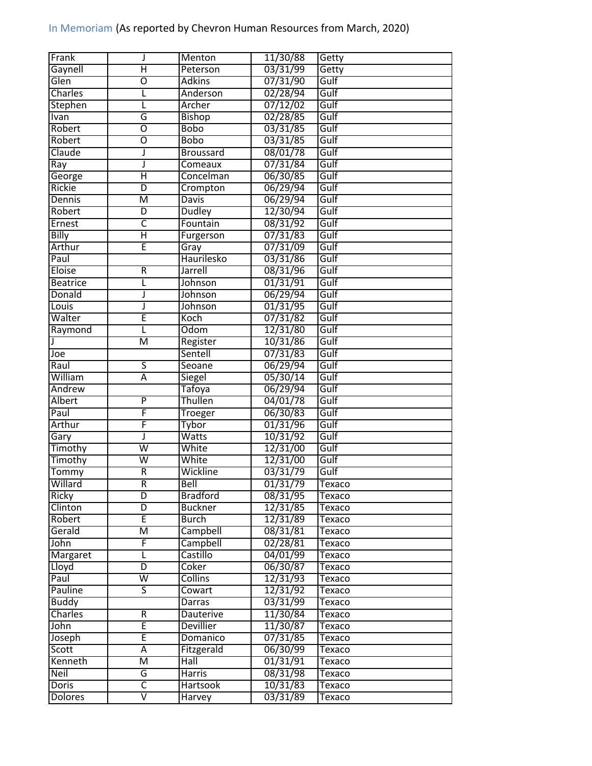| Frank           | J                       | Menton              | 11/30/88 | Getty         |
|-----------------|-------------------------|---------------------|----------|---------------|
| Gaynell         | $\overline{\mathsf{H}}$ | Peterson            | 03/31/99 | Getty         |
| Glen            | $\overline{0}$          | <b>Adkins</b>       | 07/31/90 | Gulf          |
| Charles         | L                       | Anderson            | 02/28/94 | Gulf          |
| Stephen         | L                       | Archer              | 07/12/02 | Gulf          |
| Ivan            | G                       | <b>Bishop</b>       | 02/28/85 | Gulf          |
| Robert          | $\overline{0}$          | Bobo                | 03/31/85 | Gulf          |
| Robert          | $\overline{0}$          | <b>Bobo</b>         | 03/31/85 | Gulf          |
| Claude          | J                       | <b>Broussard</b>    | 08/01/78 | Gulf          |
| Ray             | J                       | Comeaux             | 07/31/84 | Gulf          |
| George          | Η                       | Concelman           | 06/30/85 | Gulf          |
| <b>Rickie</b>   | D                       | Crompton            | 06/29/94 | Gulf          |
| Dennis          | $\overline{\mathsf{M}}$ | Davis               | 06/29/94 | Gulf          |
| Robert          | D                       | <b>Dudley</b>       | 12/30/94 | Gulf          |
| Ernest          | $\overline{\mathsf{C}}$ | Fountain            | 08/31/92 | Gulf          |
| <b>Billy</b>    | $\overline{\mathsf{H}}$ | Furgerson           | 07/31/83 | Gulf          |
| Arthur          | Έ                       | Gray                | 07/31/09 | Gulf          |
| Paul            |                         | Haurilesko          | 03/31/86 | Gulf          |
| Eloise          | $\overline{R}$          | Jarrell             | 08/31/96 | Gulf          |
| <b>Beatrice</b> | L                       | Johnson             | 01/31/91 | Gulf          |
| Donald          | J                       | Johnson             | 06/29/94 | Gulf          |
| Louis           | J                       | Johnson             | 01/31/95 | Gulf          |
| Walter          | Ē                       | Koch                | 07/31/82 | Gulf          |
| Raymond         | Г                       | Odom                | 12/31/80 | Gulf          |
|                 | $\overline{\mathsf{M}}$ |                     | 10/31/86 | Gulf          |
|                 |                         | Register<br>Sentell | 07/31/83 | Gulf          |
| Joe             | $\overline{\mathsf{s}}$ |                     |          | Gulf          |
| Raul            | $\overline{\mathsf{A}}$ | Seoane              | 06/29/94 |               |
| William         |                         | Siegel              | 05/30/14 | Gulf          |
| Andrew          | $\overline{P}$          | <b>Tafoya</b>       | 06/29/94 | Gulf          |
| <b>Albert</b>   |                         | Thullen             | 04/01/78 | Gulf          |
| Paul            | F                       | <b>Troeger</b>      | 06/30/83 | Gulf          |
| Arthur          | F                       | <b>Tybor</b>        | 01/31/96 | Gulf          |
| Gary            | J                       | Watts               | 10/31/92 | Gulf          |
| Timothy         | $\overline{\mathsf{w}}$ | White               | 12/31/00 | Gulf          |
| Timothy         | $\overline{\mathsf{w}}$ | White               | 12/31/00 | Gulf          |
| Tommy           | $\overline{R}$          | Wickline            | 03/31/79 | Gulf          |
| Willard         | R                       | <b>Bell</b>         | 01/31/79 | Texaco        |
| Ricky           | D                       | <b>Bradford</b>     | 08/31/95 | Texaco        |
| Clinton         | D                       | <b>Buckner</b>      | 12/31/85 | Texaco        |
| Robert          | Ē                       | <b>Burch</b>        | 12/31/89 | <b>Texaco</b> |
| Gerald          | $\overline{\mathsf{M}}$ | Campbell            | 08/31/81 | Texaco        |
| John            | F                       | Campbell            | 02/28/81 | Texaco        |
| <b>Margaret</b> | Г                       | Castillo            | 04/01/99 | Texaco        |
| Lloyd           | $\overline{D}$          | Coker               | 06/30/87 | Texaco        |
| Paul            | $\overline{\mathsf{W}}$ | <b>Collins</b>      | 12/31/93 | Texaco        |
| Pauline         | 5                       | Cowart              | 12/31/92 | Texaco        |
| <b>Buddy</b>    |                         | Darras              | 03/31/99 | Texaco        |
| Charles         | R                       | <b>Dauterive</b>    | 11/30/84 | Texaco        |
| John            | E                       | <b>Devillier</b>    | 11/30/87 | Texaco        |
| Joseph          | Ē                       | Domanico            | 07/31/85 | Texaco        |
| Scott           | Ā                       | Fitzgerald          | 06/30/99 | Texaco        |
| Kenneth         | M                       | Hall                | 01/31/91 | Texaco        |
| <b>Neil</b>     | G                       | Harris              | 08/31/98 | Texaco        |
| <b>Doris</b>    | $\overline{\mathsf{C}}$ | <b>Hartsook</b>     | 10/31/83 | Texaco        |
| <b>Dolores</b>  | $\overline{\mathsf{V}}$ | Harvey              | 03/31/89 | Texaco        |